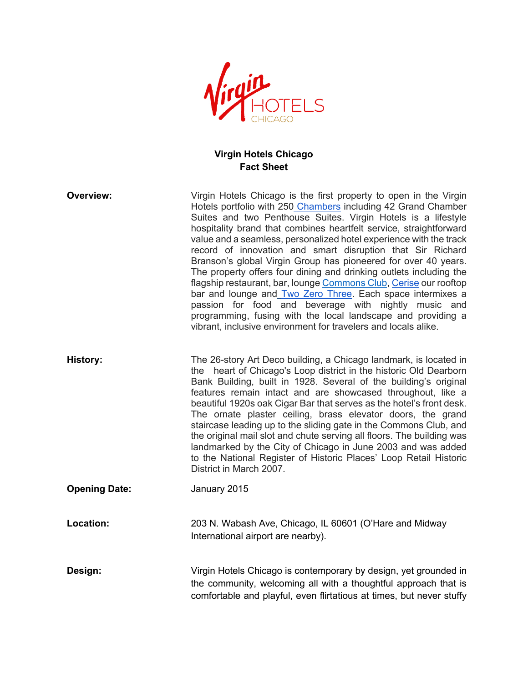

## **Virgin Hotels Chicago Fact Sheet**

| <b>Overview:</b>     | Virgin Hotels Chicago is the first property to open in the Virgin<br>Hotels portfolio with 250 Chambers including 42 Grand Chamber<br>Suites and two Penthouse Suites. Virgin Hotels is a lifestyle<br>hospitality brand that combines heartfelt service, straightforward<br>value and a seamless, personalized hotel experience with the track<br>record of innovation and smart disruption that Sir Richard<br>Branson's global Virgin Group has pioneered for over 40 years.<br>The property offers four dining and drinking outlets including the<br>flagship restaurant, bar, lounge Commons Club, Cerise our rooftop<br>bar and lounge and Two Zero Three. Each space intermixes a<br>passion for food and beverage with nightly music and<br>programming, fusing with the local landscape and providing a<br>vibrant, inclusive environment for travelers and locals alike. |
|----------------------|------------------------------------------------------------------------------------------------------------------------------------------------------------------------------------------------------------------------------------------------------------------------------------------------------------------------------------------------------------------------------------------------------------------------------------------------------------------------------------------------------------------------------------------------------------------------------------------------------------------------------------------------------------------------------------------------------------------------------------------------------------------------------------------------------------------------------------------------------------------------------------|
| <b>History:</b>      | The 26-story Art Deco building, a Chicago landmark, is located in<br>the heart of Chicago's Loop district in the historic Old Dearborn<br>Bank Building, built in 1928. Several of the building's original<br>features remain intact and are showcased throughout, like a<br>beautiful 1920s oak Cigar Bar that serves as the hotel's front desk.<br>The ornate plaster ceiling, brass elevator doors, the grand<br>staircase leading up to the sliding gate in the Commons Club, and<br>the original mail slot and chute serving all floors. The building was<br>landmarked by the City of Chicago in June 2003 and was added<br>to the National Register of Historic Places' Loop Retail Historic<br>District in March 2007.                                                                                                                                                     |
| <b>Opening Date:</b> | January 2015                                                                                                                                                                                                                                                                                                                                                                                                                                                                                                                                                                                                                                                                                                                                                                                                                                                                       |
| Location:            | 203 N. Wabash Ave, Chicago, IL 60601 (O'Hare and Midway<br>International airport are nearby).                                                                                                                                                                                                                                                                                                                                                                                                                                                                                                                                                                                                                                                                                                                                                                                      |
| Design:              | Virgin Hotels Chicago is contemporary by design, yet grounded in<br>the community, welcoming all with a thoughtful approach that is<br>comfortable and playful, even flirtatious at times, but never stuffy                                                                                                                                                                                                                                                                                                                                                                                                                                                                                                                                                                                                                                                                        |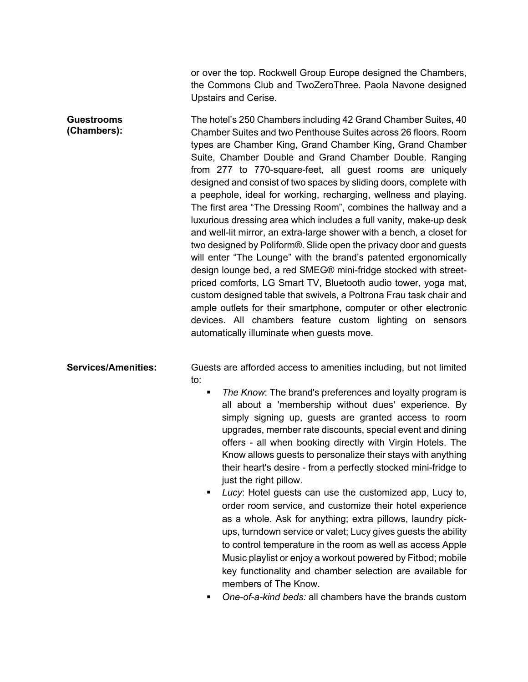or over the top. Rockwell Group Europe designed the Chambers, the Commons Club and TwoZeroThree. Paola Navone designed Upstairs and Cerise.

**Guestrooms (Chambers):** The hotel's 250 Chambers including 42 Grand Chamber Suites, 40 Chamber Suites and two Penthouse Suites across 26 floors. Room types are Chamber King, Grand Chamber King, Grand Chamber Suite, Chamber Double and Grand Chamber Double. Ranging from 277 to 770-square-feet, all guest rooms are uniquely designed and consist of two spaces by sliding doors, complete with a peephole, ideal for working, recharging, wellness and playing. The first area "The Dressing Room", combines the hallway and a luxurious dressing area which includes a full vanity, make-up desk and well-lit mirror, an extra-large shower with a bench, a closet for two designed by Poliform®. Slide open the privacy door and guests will enter "The Lounge" with the brand's patented ergonomically design lounge bed, a red SMEG® mini-fridge stocked with streetpriced comforts, LG Smart TV, Bluetooth audio tower, yoga mat, custom designed table that swivels, a Poltrona Frau task chair and ample outlets for their smartphone, computer or other electronic devices. All chambers feature custom lighting on sensors automatically illuminate when guests move.

**Services/Amenities:** Guests are afforded access to amenities including, but not limited to:

- The Know: The brand's preferences and loyalty program is all about a 'membership without dues' experience. By simply signing up, guests are granted access to room upgrades, member rate discounts, special event and dining offers - all when booking directly with Virgin Hotels. The Know allows guests to personalize their stays with anything their heart's desire - from a perfectly stocked mini-fridge to just the right pillow.
- § *Lucy*: Hotel guests can use the customized app, Lucy to, order room service, and customize their hotel experience as a whole. Ask for anything; extra pillows, laundry pickups, turndown service or valet; Lucy gives guests the ability to control temperature in the room as well as access Apple Music playlist or enjoy a workout powered by Fitbod; mobile key functionality and chamber selection are available for members of The Know.
- § *One-of-a-kind beds:* all chambers have the brands custom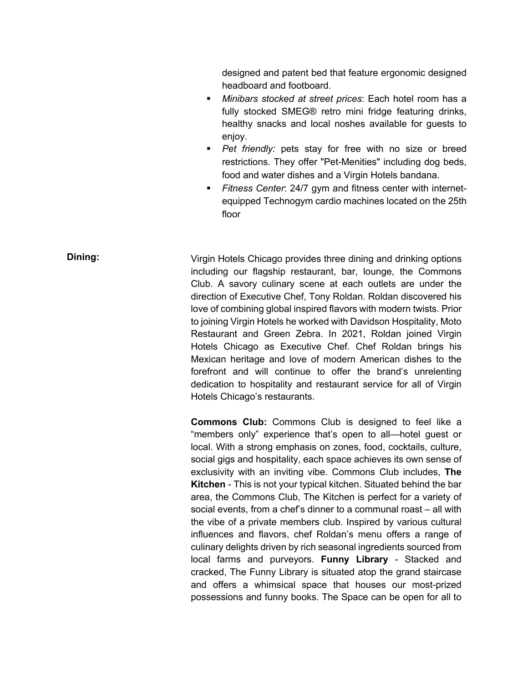designed and patent bed that feature ergonomic designed headboard and footboard.

- § *Minibars stocked at street prices*: Each hotel room has a fully stocked SMEG® retro mini fridge featuring drinks, healthy snacks and local noshes available for guests to enjoy.
- § *Pet friendly:* pets stay for free with no size or breed restrictions. They offer "Pet-Menities" including dog beds, food and water dishes and a Virgin Hotels bandana.
- § *Fitness Center*: 24/7 gym and fitness center with internetequipped Technogym cardio machines located on the 25th floor

**Dining:** Virgin Hotels Chicago provides three dining and drinking options including our flagship restaurant, bar, lounge, the Commons Club. A savory culinary scene at each outlets are under the direction of Executive Chef, Tony Roldan. Roldan discovered his love of combining global inspired flavors with modern twists. Prior to joining Virgin Hotels he worked with Davidson Hospitality, Moto Restaurant and Green Zebra. In 2021, Roldan joined Virgin Hotels Chicago as Executive Chef. Chef Roldan brings his Mexican heritage and love of modern American dishes to the forefront and will continue to offer the brand's unrelenting dedication to hospitality and restaurant service for all of Virgin Hotels Chicago's restaurants.

> **Commons Club:** Commons Club is designed to feel like a "members only" experience that's open to all—hotel guest or local. With a strong emphasis on zones, food, cocktails, culture, social gigs and hospitality, each space achieves its own sense of exclusivity with an inviting vibe. Commons Club includes, **The Kitchen** - This is not your typical kitchen. Situated behind the bar area, the Commons Club, The Kitchen is perfect for a variety of social events, from a chef's dinner to a communal roast – all with the vibe of a private members club. Inspired by various cultural influences and flavors, chef Roldan's menu offers a range of culinary delights driven by rich seasonal ingredients sourced from local farms and purveyors. **Funny Library** - Stacked and cracked, The Funny Library is situated atop the grand staircase and offers a whimsical space that houses our most-prized possessions and funny books. The Space can be open for all to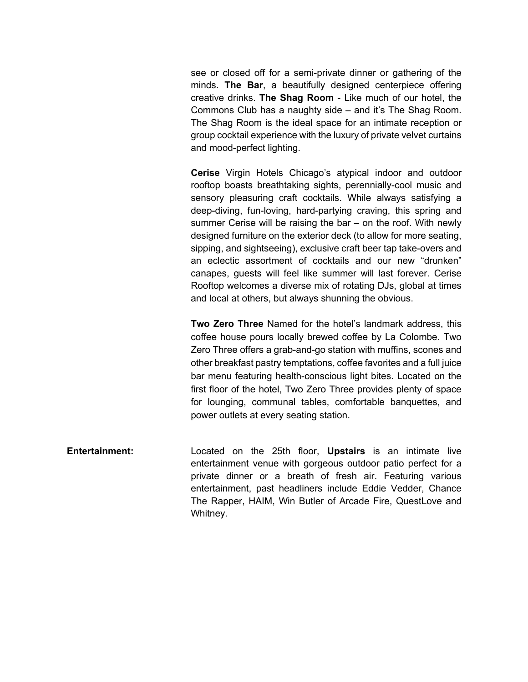see or closed off for a semi-private dinner or gathering of the minds. **The Bar**, a beautifully designed centerpiece offering creative drinks. **The Shag Room** - Like much of our hotel, the Commons Club has a naughty side – and it's The Shag Room. The Shag Room is the ideal space for an intimate reception or group cocktail experience with the luxury of private velvet curtains and mood-perfect lighting.

**Cerise** Virgin Hotels Chicago's atypical indoor and outdoor rooftop boasts breathtaking sights, perennially-cool music and sensory pleasuring craft cocktails. While always satisfying a deep-diving, fun-loving, hard-partying craving, this spring and summer Cerise will be raising the bar – on the roof. With newly designed furniture on the exterior deck (to allow for more seating, sipping, and sightseeing), exclusive craft beer tap take-overs and an eclectic assortment of cocktails and our new "drunken" canapes, guests will feel like summer will last forever. Cerise Rooftop welcomes a diverse mix of rotating DJs, global at times and local at others, but always shunning the obvious.

**Two Zero Three** Named for the hotel's landmark address, this coffee house pours locally brewed coffee by La Colombe. Two Zero Three offers a grab-and-go station with muffins, scones and other breakfast pastry temptations, coffee favorites and a full juice bar menu featuring health-conscious light bites. Located on the first floor of the hotel, Two Zero Three provides plenty of space for lounging, communal tables, comfortable banquettes, and power outlets at every seating station.

**Entertainment:** Located on the 25th floor, **Upstairs** is an intimate live entertainment venue with gorgeous outdoor patio perfect for a private dinner or a breath of fresh air. Featuring various entertainment, past headliners include Eddie Vedder, Chance The Rapper, HAIM, Win Butler of Arcade Fire, QuestLove and Whitney.